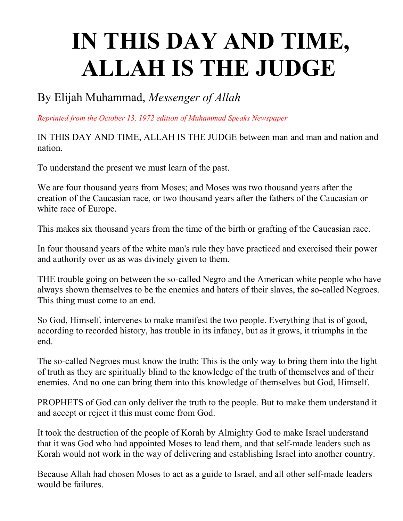## **IN THIS DAY AND TIME, ALLAH IS THE JUDGE**

By Elijah Muhammad, *Messenger of Allah*

*Reprinted from the October 13, 1972 edition of Muhammad Speaks Newspaper*

IN THIS DAY AND TIME, ALLAH IS THE JUDGE between man and man and nation and nation.

To understand the present we must learn of the past.

We are four thousand years from Moses; and Moses was two thousand years after the creation of the Caucasian race, or two thousand years after the fathers of the Caucasian or white race of Europe.

This makes six thousand years from the time of the birth or grafting of the Caucasian race.

In four thousand years of the white man's rule they have practiced and exercised their power and authority over us as was divinely given to them.

THE trouble going on between the so-called Negro and the American white people who have always shown themselves to be the enemies and haters of their slaves, the so-called Negroes. This thing must come to an end.

So God, Himself, intervenes to make manifest the two people. Everything that is of good, according to recorded history, has trouble in its infancy, but as it grows, it triumphs in the end.

The so-called Negroes must know the truth: This is the only way to bring them into the light of truth as they are spiritually blind to the knowledge of the truth of themselves and of their enemies. And no one can bring them into this knowledge of themselves but God, Himself.

PROPHETS of God can only deliver the truth to the people. But to make them understand it and accept or reject it this must come from God.

It took the destruction of the people of Korah by Almighty God to make Israel understand that it was God who had appointed Moses to lead them, and that self-made leaders such as Korah would not work in the way of delivering and establishing Israel into another country.

Because Allah had chosen Moses to act as a guide to Israel, and all other self-made leaders would be failures.